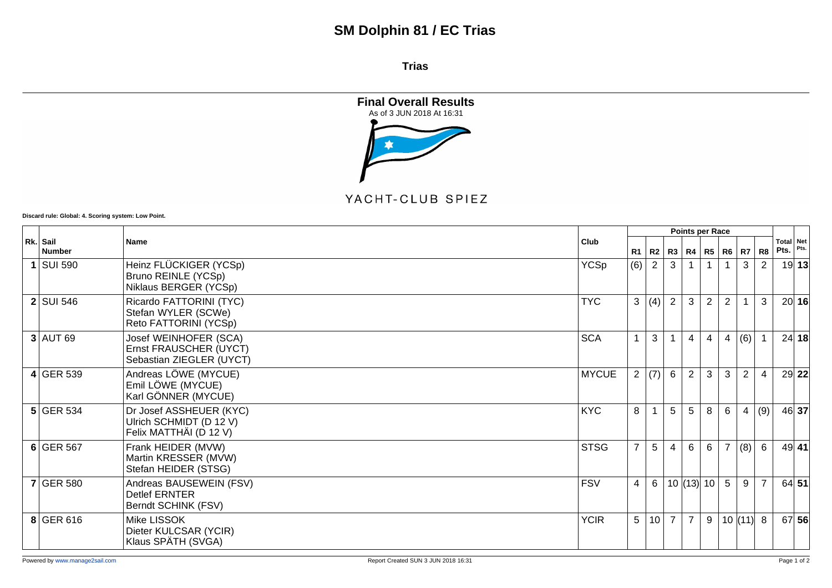## **SM Dolphin 81 / EC Trias**

**Trias**



## YACHT-CLUB SPIEZ

**Discard rule: Global: 4. Scoring system: Low Point.**

|  |                           | Club<br>Name                                                                 |              | <b>Points per Race</b> |                |                |                |                |                |                |                |      |                   |
|--|---------------------------|------------------------------------------------------------------------------|--------------|------------------------|----------------|----------------|----------------|----------------|----------------|----------------|----------------|------|-------------------|
|  | Rk. Sail<br><b>Number</b> |                                                                              |              | R <sub>1</sub>         | R2             |                | R3   R4        |                | <b>R5 R6</b>   | R7             | R <sub>8</sub> | Pts. | Total Net<br>Pts. |
|  | $1$ SUI 590               | Heinz FLÜCKIGER (YCSp)<br>Bruno REINLE (YCSp)<br>Niklaus BERGER (YCSp)       | <b>YCSp</b>  | (6)                    | $\overline{2}$ | 3              |                |                |                | 3              | 2              |      | 19 13             |
|  | $2$ SUI 546               | Ricardo FATTORINI (TYC)<br>Stefan WYLER (SCWe)<br>Reto FATTORINI (YCSp)      | <b>TYC</b>   | 3                      | (4)            | $\overline{2}$ | 3              | $\overline{2}$ | $\overline{2}$ |                | 3              |      | 20 16             |
|  | $3$ AUT 69                | Josef WEINHOFER (SCA)<br>Ernst FRAUSCHER (UYCT)<br>Sebastian ZIEGLER (UYCT)  | <b>SCA</b>   | 1                      | 3              |                | 4              | 4              | 4              | (6)            |                |      | 24 18             |
|  | $4$ GER 539               | Andreas LÖWE (MYCUE)<br>Emil LÖWE (MYCUE)<br>Karl GÖNNER (MYCUE)             | <b>MYCUE</b> | $\mathbf{2}$           | (7)            | 6              | $\overline{2}$ | 3              | 3              | $\overline{2}$ | 4              |      | 29 22             |
|  | $5$ GER 534               | Dr Josef ASSHEUER (KYC)<br>Ulrich SCHMIDT (D 12 V)<br>Felix MATTHÄI (D 12 V) | <b>KYC</b>   | 8                      | $\overline{1}$ | 5              | 5              | 8              | 6              | $\overline{4}$ | (9)            |      | 46 37             |
|  | $6$ GER 567               | Frank HEIDER (MVW)<br>Martin KRESSER (MVW)<br>Stefan HEIDER (STSG)           | <b>STSG</b>  | $\overline{7}$         | 5              | $\overline{4}$ | 6              | 6              | $\overline{7}$ | (8)            | 6              |      | $49$ 41           |
|  | $7$ GER 580               | Andreas BAUSEWEIN (FSV)<br><b>Detlef ERNTER</b><br>Berndt SCHINK (FSV)       | <b>FSV</b>   | 4                      | 6              |                | $10$ (13) 10   |                | 5              | $9\,$          | $\overline{7}$ |      | 64 51             |
|  | 8 GER 616                 | Mike LISSOK<br>Dieter KULCSAR (YCIR)<br>Klaus SPÄTH (SVGA)                   | <b>YCIR</b>  | 5                      | 10             | 7 <sup>1</sup> | $\overline{7}$ | 9              |                | 10  (11)  8    |                |      | 67 56             |